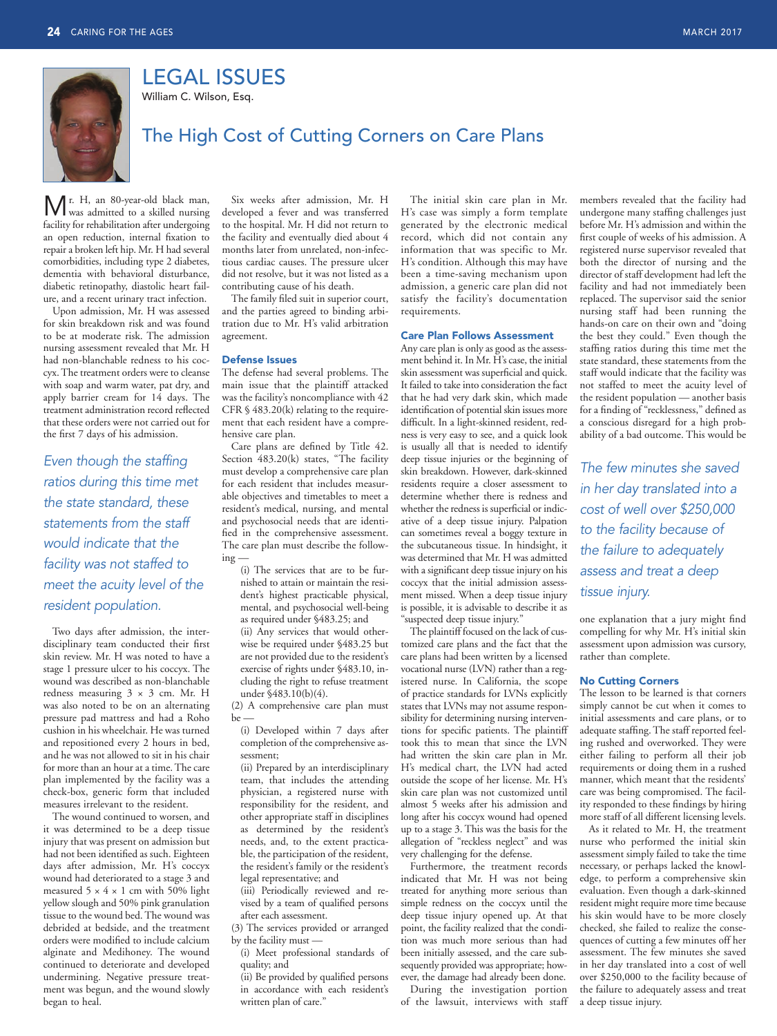

LEGAL ISSUES

William C. Wilson, Esq.

## The High Cost of Cutting Corners on Care Plans

facility for r ehabilitation after undergoing Mr. H, an 80-year-old black man,<br>was admitted to a skilled nursing an open reduction, internal fixation to repair a broken left hip. Mr. H had several comorbidities, including type 2 diabetes, dementia with behavioral disturbance, diabetic retinopathy, diastolic heart failure, and a recent urinary tract infection.

Upon admission, Mr. H was assessed for skin breakdown risk and was found to be at moderate risk. The admission nursing assessment revealed that Mr. H had non-blanchable redness to his coccyx. The treatment orders were to cleanse with soap and warm water, pat dry, and apply barrier cream for 14 days. The treatment administration record reflected that these orders were not carried out for the first 7 days of his admission.

*Even though the staffing ratios during this time met the state standard, these statements from the staff would indicate that the facility was not staffed to meet the acuity level of the resident population.*

 Two days after admission, the interdisciplinary team conducted their first skin review. Mr. H was noted to have a stage 1 pressure ulcer to his coccyx. The wound was described as non-blanchable redness measuring 3 × 3 cm. Mr. H was also noted to be on an alternating pressure pad mattress and had a Roho cushion in his wheelchair. He was turned and repositioned every 2 hours in bed, and he was not allowed to sit in his chair for more than an hour at a time. The care plan implemented by the facility was a check-box, generic form that included measures irrelevant to the resident.

 The wound continued to worsen, and it was determined to be a deep tissue injury that was present on admission but had not been identified as such. Eighteen days after admission, Mr. H's coccyx wound had deteriorated to a stage 3 and measured  $5 \times 4 \times 1$  cm with 50% light yellow slough and 50% pink granulation tissue to the wound bed. The wound was debrided at bedside, and the treatment orders were modified to include calcium alginate and Medihoney. The wound continued to deteriorate and developed undermining. Negative pressure treatment was begun, and the wound slowly began to heal.

Six weeks after admission, Mr. H developed a fever and was transferred to the hospital. Mr. H did not return to the facility and eventually died about 4 months later from unrelated, non-infectious cardiac causes. The pressure ulcer did not resolve, but it was not listed as a contributing cause of his death.

The family filed suit in superior court, and the parties agreed to binding arbitration due to Mr. H's valid arbitration agreement.

## Defense Issues

 The defense had several problems. The main issue that the plaintiff attacked was the facility's noncompliance with 42 CFR § 483.20(k) relating to the requirement that each resident have a comprehensive care plan.

Care plans are defined by Title 42. Section 483.20(k) states, "The facility must develop a comprehensive care plan for each resident that includes measurable objectives and timetables to meet a resident's medical, nursing, and mental and psychosocial needs that are identified in the comprehensive assessment. The care plan must describe the following

 (i) The services that are to be furnished to attain or maintain the resident's highest practicable physical, mental, and psychosocial well-being as required under §483.25; and (ii) Any services that would otherwise be required under §483.25 but are not provided due to the resident's

exercise of rights under §483.10, including the right to refuse treatment under §483.10(b)(4). (2) A comprehensive care plan must

be —

(i) Developed within 7 days after completion of the comprehensive assessment;

 (ii) Prepared by an interdisciplinary team, that includes the attending physician, a registered nurse with responsibility for the resident, and other appropriate staff in disciplines as determined by the resident's needs, and, to the extent practicable, the participation of the resident, the resident's family or the resident's legal representative; and

 (iii) Periodically reviewed and revised by a team of qualified persons after each assessment.

 (3) The services provided or arranged by the facility must —

 (i) Meet professional standards of quality; and

(ii) Be provided by qualified persons in accordance with each resident's written plan of care."

The initial skin care plan in Mr. H's case was simply a form template generated by the electronic medical record, which did not contain any information that was specific to Mr. H's condition. Although this may have been a time-saving mechanism upon admission, a generic care plan did not satisfy the facility's documentation requirements.

## Care Plan Follows Assessment

Any care plan is only as good as the assessment behind it. In Mr. H's case, the initial skin assessment was superficial and quick. It failed to take into consideration the fact that he had very dark skin, which made identification of potential skin issues more difficult. In a light-skinned resident, redness is very easy to see, and a quick look is usually all that is needed to identify deep tissue injuries or the beginning of skin breakdown. However, dark-skinned residents require a closer assessment to determine whether there is redness and whether the redness is superficial or indicative of a deep tissue injury. Palpation can sometimes reveal a boggy texture in the subcutaneous tissue. In hindsight, it was determined that Mr. H was admitted with a significant deep tissue injury on his coccyx that the initial admission assessment missed. When a deep tissue injury is possible, it is advisable to describe it as "suspected deep tissue injury."

The plaintiff focused on the lack of customized care plans and the fact that the care plans had been written by a licensed vocational nurse (LVN) rather than a registered nurse. In California, the scope of practice standards for LVNs explicitly states that LVNs may not assume responsibility for determining nursing interventions for specific patients. The plaintiff took this to mean that since the LVN had written the skin care plan in Mr. H's medical chart, the LVN had acted outside the scope of her license. Mr. H's skin care plan was not customized until almost 5 weeks after his admission and long after his coccyx wound had opened up to a stage 3. This was the basis for the allegation of "reckless neglect" and was very challenging for the defense.

Furthermore, the treatment records indicated that Mr. H was not being treated for anything more serious than simple redness on the coccyx until the deep tissue injury opened up. At that point, the facility realized that the condition was much more serious than had been initially assessed, and the care subsequently provided was appropriate; however, the damage had already been done.

 During the investigation portion of the lawsuit, interviews with staff members revealed that the facility had undergone many staffing challenges just before Mr. H's admission and within the first couple of weeks of his admission. A registered nurse supervisor revealed that both the director of nursing and the director of staff development had left the facility and had not immediately been replaced. The supervisor said the senior nursing staff had been running the hands-on care on their own and "doing the best they could." Even though the staffing ratios during this time met the state standard, these statements from the staff would indicate that the facility was not staffed to meet the acuity level of the resident population — another basis for a finding of "recklessness," defined as a conscious disregard for a high probability of a bad outcome. This would be

*The few minutes she saved in her day translated into a cost of well over \$250,000 to the facility because of the failure to adequately assess and treat a deep tissue injury.*

one explanation that a jury might find compelling for why Mr. H's initial skin assessment upon admission was cursory, rather than complete.

## No Cutting Corners

The lesson to be learned is that corners simply cannot be cut when it comes to initial assessments and care plans, or to adequate staffing. The staff reported feeling rushed and overworked. They were either failing to perform all their job requirements or doing them in a rushed manner, which meant that the residents' care was being compromised. The facility responded to these findings by hiring more staff of all different licensing levels.

 As it related to Mr. H, the treatment nurse who performed the initial skin assessment simply failed to take the time necessary, or perhaps lacked the knowledge, to perform a comprehensive skin evaluation. Even though a dark-skinned resident might require more time because his skin would have to be more closely checked, she failed to realize the consequences of cutting a few minutes off her assessment. The few minutes she saved in her day translated into a cost of well over \$250,000 to the facility because of the failure to adequately assess and treat a deep tissue injury.